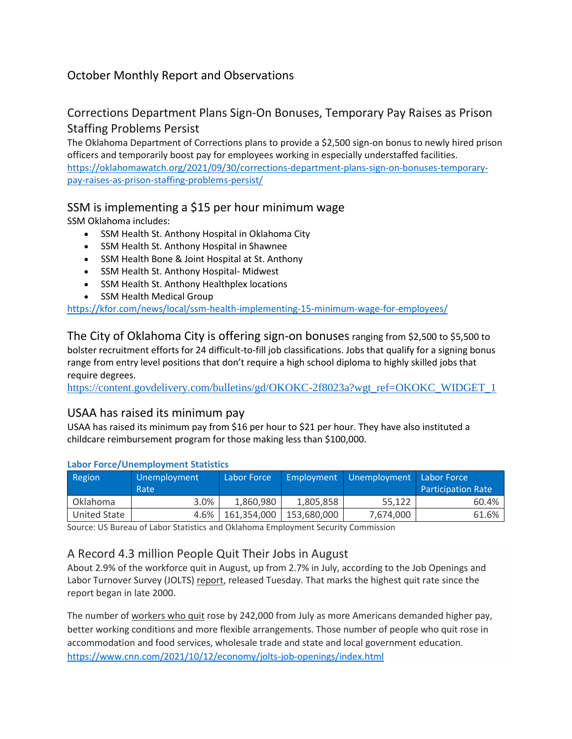## October Monthly Report and Observations

## Corrections Department Plans Sign-On Bonuses, Temporary Pay Raises as Prison Staffing Problems Persist

The Oklahoma Department of Corrections plans to provide a \$2,500 sign-on bonus to newly hired prison officers and temporarily boost pay for employees working in especially understaffed facilities. [https://oklahomawatch.org/2021/09/30/corrections-department-plans-sign-on-bonuses-temporary](https://oklahomawatch.org/2021/09/30/corrections-department-plans-sign-on-bonuses-temporary-pay-raises-as-prison-staffing-problems-persist/)[pay-raises-as-prison-staffing-problems-persist/](https://oklahomawatch.org/2021/09/30/corrections-department-plans-sign-on-bonuses-temporary-pay-raises-as-prison-staffing-problems-persist/)

### SSM is implementing a \$15 per hour minimum wage

SSM Oklahoma includes:

- SSM Health St. Anthony Hospital in Oklahoma City
- SSM Health St. Anthony Hospital in Shawnee
- SSM Health Bone & Joint Hospital at St. Anthony
- SSM Health St. Anthony Hospital- Midwest
- SSM Health St. Anthony Healthplex locations
- SSM Health Medical Group

<https://kfor.com/news/local/ssm-health-implementing-15-minimum-wage-for-employees/>

The City of Oklahoma City is offering sign-on bonuses ranging from \$2,500 to \$5,500 to bolster recruitment efforts for 24 difficult-to-fill job classifications. Jobs that qualify for a signing bonus range from entry level positions that don't require a high school diploma to highly skilled jobs that require degrees.

[https://content.govdelivery.com/bulletins/gd/OKOKC-2f8023a?wgt\\_ref=OKOKC\\_WIDGET\\_1](https://content.govdelivery.com/bulletins/gd/OKOKC-2f8023a?wgt_ref=OKOKC_WIDGET_1)

#### USAA has raised its minimum pay

USAA has raised its minimum pay from \$16 per hour to \$21 per hour. They have also instituted a childcare reimbursement program for those making less than \$100,000.

| <b>Region</b> | Unemployment<br>Rate | Labor Force |             | Employment Unemployment Labor Force | <b>Participation Rate</b> |
|---------------|----------------------|-------------|-------------|-------------------------------------|---------------------------|
| Oklahoma      | 3.0%                 | 1.860.980   | 1,805,858   | 55.122                              | 60.4%                     |
| United State  | $4.6\%$              | 161,354,000 | 153,680,000 | 7,674,000                           | 61.6%                     |

#### **Labor Force/Unemployment Statistics**

Source: US Bureau of Labor Statistics and Oklahoma Employment Security Commission

#### A Record 4.3 million People Quit Their Jobs in August

About 2.9% of the workforce quit in August, up from 2.7% in July, according to the Job Openings and Labor Turnover Survey (JOLTS) [report,](https://www.bls.gov/news.release/jolts.nr0.htm) released Tuesday. That marks the highest quit rate since the report began in late 2000.

The number of [workers who quit](http://www.cnn.com/2021/09/14/success/time-to-leave-job-signs-feseries/index.html) rose by 242,000 from July as more Americans demanded higher pay, better working conditions and more flexible arrangements. Those number of people who quit rose in accommodation and food services, wholesale trade and state and local government education. <https://www.cnn.com/2021/10/12/economy/jolts-job-openings/index.html>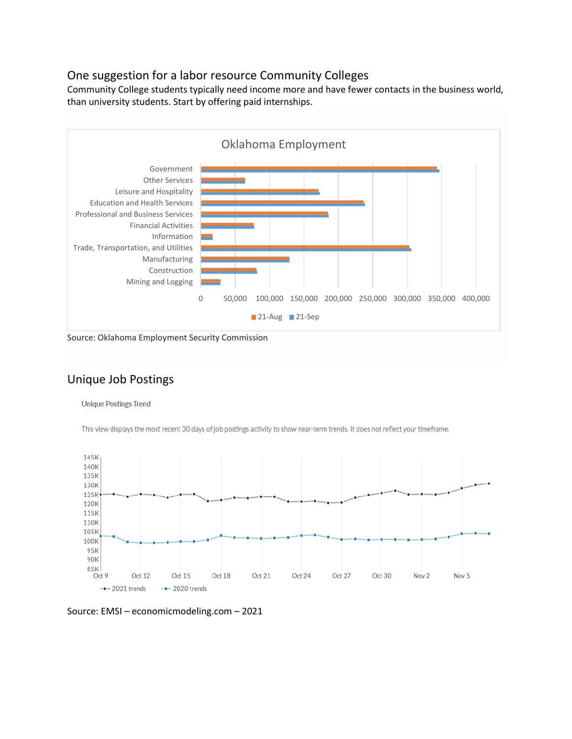#### One suggestion for a labor resource Community Colleges

Community College students typically need income more and have fewer contacts in the business world, than university students. Start by offering paid internships.



Source: Oklahoma Employment Security Commission

## Unique Job Postings

#### **Unique Postings Trend**

This view displays the most recent 30 days of job postings activity to show near-term trends. It does not reflect your timeframe.



Source: EMSI – economicmodeling.com – 2021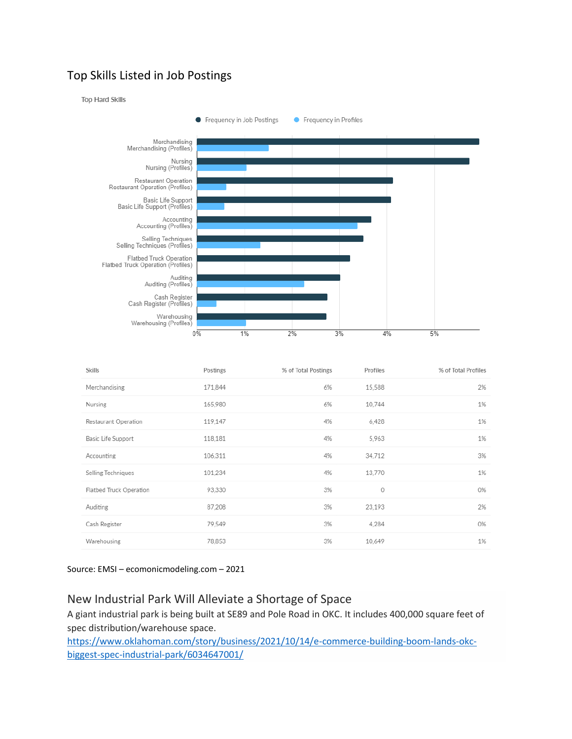# Top Skills Listed in Job Postings

**Top Hard Skills** 



| Skills                  | Postings | % of Total Postings | Profiles | % of Total Profiles |
|-------------------------|----------|---------------------|----------|---------------------|
| Merchandising           | 171,844  | 6%                  | 15,588   | 2%                  |
| Nursing                 | 165,980  | 6%                  | 10,744   | 1%                  |
| Restaurant Operation    | 119,147  | 4%                  | 6,428    | 1%                  |
| Basic Life Support      | 118,181  | 4%                  | 5,963    | 1%                  |
| Accounting              | 106,311  | 4%                  | 34,712   | 3%                  |
| Selling Techniques      | 101,234  | 4%                  | 13,770   | 1%                  |
| Flatbed Truck Operation | 93,330   | 3%                  | $\circ$  | 0%                  |
| Auditing                | 87,208   | 3%                  | 23,193   | 2%                  |
| Cash Register           | 79,549   | 3%                  | 4,284    | 0%                  |
| Warehousing             | 78,853   | 3%                  | 10,649   | 1%                  |

Source: EMSI – ecomonicmodeling.com – 2021

### New Industrial Park Will Alleviate a Shortage of Space

A giant industrial park is being built at SE89 and Pole Road in OKC. It includes 400,000 square feet of spec distribution/warehouse space.

[https://www.oklahoman.com/story/business/2021/10/14/e-commerce-building-boom-lands-okc](https://www.oklahoman.com/story/business/2021/10/14/e-commerce-building-boom-lands-okc-biggest-spec-industrial-park/6034647001/)[biggest-spec-industrial-park/6034647001/](https://www.oklahoman.com/story/business/2021/10/14/e-commerce-building-boom-lands-okc-biggest-spec-industrial-park/6034647001/)